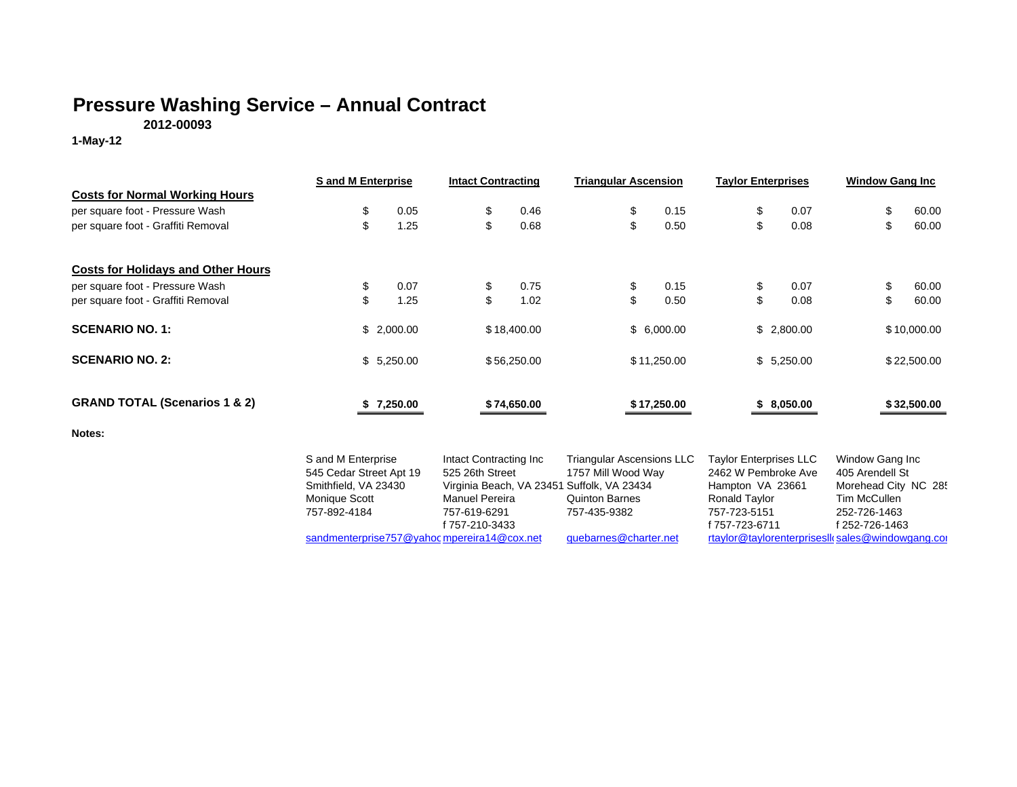## **Pressure Washing Service – Annual Contract**

**2012-00093**

**1-May-12**

|                                           | <b>S</b> and M Enterprise                                                                              |            | <b>Intact Contracting</b>                                                                                                                          | <b>Triangular Ascension</b>                                                                     | <b>Taylor Enterprises</b>                                                                                                   | <b>Window Gang Inc</b>                                                                                       |
|-------------------------------------------|--------------------------------------------------------------------------------------------------------|------------|----------------------------------------------------------------------------------------------------------------------------------------------------|-------------------------------------------------------------------------------------------------|-----------------------------------------------------------------------------------------------------------------------------|--------------------------------------------------------------------------------------------------------------|
| <b>Costs for Normal Working Hours</b>     |                                                                                                        |            |                                                                                                                                                    |                                                                                                 |                                                                                                                             |                                                                                                              |
| per square foot - Pressure Wash           | \$                                                                                                     | 0.05       | \$<br>0.46                                                                                                                                         | \$<br>0.15                                                                                      | \$<br>0.07                                                                                                                  | 60.00<br>\$                                                                                                  |
| per square foot - Graffiti Removal        | \$                                                                                                     | 1.25       | \$<br>0.68                                                                                                                                         | \$<br>0.50                                                                                      | \$<br>0.08                                                                                                                  | \$<br>60.00                                                                                                  |
| <b>Costs for Holidays and Other Hours</b> |                                                                                                        |            |                                                                                                                                                    |                                                                                                 |                                                                                                                             |                                                                                                              |
| per square foot - Pressure Wash           | \$                                                                                                     | 0.07       | \$<br>0.75                                                                                                                                         | \$<br>0.15                                                                                      | \$<br>0.07                                                                                                                  | 60.00<br>\$                                                                                                  |
| per square foot - Graffiti Removal        | \$                                                                                                     | 1.25       | \$<br>1.02                                                                                                                                         | \$<br>0.50                                                                                      | \$<br>0.08                                                                                                                  | \$<br>60.00                                                                                                  |
| <b>SCENARIO NO. 1:</b>                    | \$2,000.00                                                                                             |            | \$18,400.00                                                                                                                                        | \$6,000.00                                                                                      | \$2,800.00                                                                                                                  | \$10,000.00                                                                                                  |
| <b>SCENARIO NO. 2:</b>                    |                                                                                                        | \$5,250.00 | \$56,250.00                                                                                                                                        | \$11,250.00                                                                                     | \$5,250.00                                                                                                                  | \$22,500.00                                                                                                  |
| <b>GRAND TOTAL (Scenarios 1 &amp; 2)</b>  |                                                                                                        | 7,250.00   | \$74,650.00                                                                                                                                        | \$17,250.00                                                                                     | \$8,050.00                                                                                                                  | \$32,500.00                                                                                                  |
| Notes:                                    |                                                                                                        |            |                                                                                                                                                    |                                                                                                 |                                                                                                                             |                                                                                                              |
|                                           | S and M Enterprise<br>545 Cedar Street Apt 19<br>Smithfield, VA 23430<br>Monique Scott<br>757-892-4184 |            | Intact Contracting Inc<br>525 26th Street<br>Virginia Beach, VA 23451 Suffolk, VA 23434<br><b>Manuel Pereira</b><br>757-619-6291<br>f 757-210-3433 | <b>Triangular Ascensions LLC</b><br>1757 Mill Wood Way<br><b>Quinton Barnes</b><br>757-435-9382 | <b>Taylor Enterprises LLC</b><br>2462 W Pembroke Ave<br>Hampton VA 23661<br>Ronald Taylor<br>757-723-5151<br>f 757-723-6711 | Window Gang Inc<br>405 Arendell St<br>Morehead City NC 285<br>Tim McCullen<br>252-726-1463<br>f 252-726-1463 |
|                                           | sandmenterprise757@yahoc mpereira14@cox.net                                                            |            |                                                                                                                                                    | quebarnes@charter.net                                                                           | rtaylor@taylorenterprisesll(sales@windowgang.cor                                                                            |                                                                                                              |